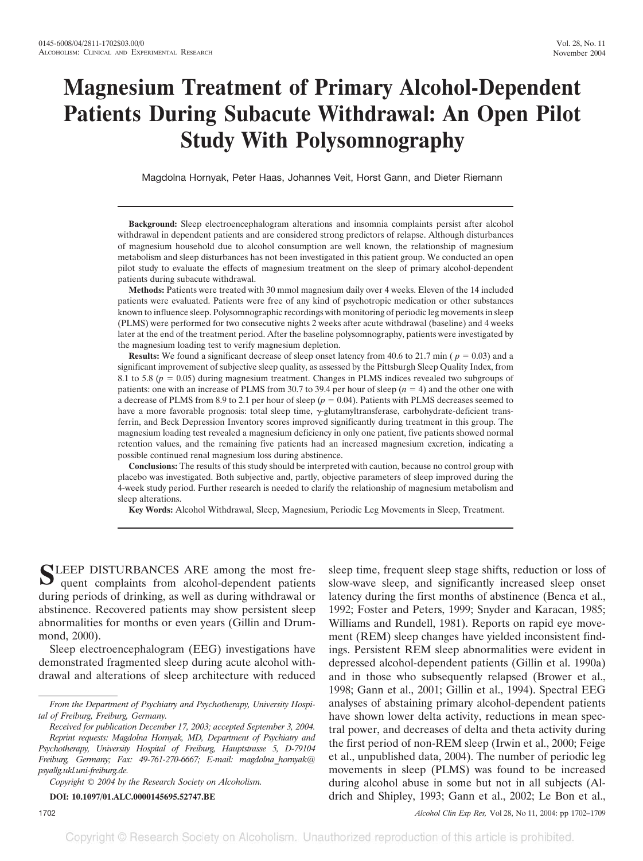# **Magnesium Treatment of Primary Alcohol-Dependent Patients During Subacute Withdrawal: An Open Pilot Study With Polysomnography**

Magdolna Hornyak, Peter Haas, Johannes Veit, Horst Gann, and Dieter Riemann

**Background:** Sleep electroencephalogram alterations and insomnia complaints persist after alcohol withdrawal in dependent patients and are considered strong predictors of relapse. Although disturbances of magnesium household due to alcohol consumption are well known, the relationship of magnesium metabolism and sleep disturbances has not been investigated in this patient group. We conducted an open pilot study to evaluate the effects of magnesium treatment on the sleep of primary alcohol-dependent patients during subacute withdrawal.

**Methods:** Patients were treated with 30 mmol magnesium daily over 4 weeks. Eleven of the 14 included patients were evaluated. Patients were free of any kind of psychotropic medication or other substances known to influence sleep. Polysomnographic recordings with monitoring of periodic leg movements in sleep (PLMS) were performed for two consecutive nights 2 weeks after acute withdrawal (baseline) and 4 weeks later at the end of the treatment period. After the baseline polysomnography, patients were investigated by the magnesium loading test to verify magnesium depletion.

**Results:** We found a significant decrease of sleep onset latency from 40.6 to 21.7 min ( $p = 0.03$ ) and a significant improvement of subjective sleep quality, as assessed by the Pittsburgh Sleep Quality Index, from 8.1 to 5.8 ( $p = 0.05$ ) during magnesium treatment. Changes in PLMS indices revealed two subgroups of patients: one with an increase of PLMS from 30.7 to 39.4 per hour of sleep  $(n = 4)$  and the other one with a decrease of PLMS from 8.9 to 2.1 per hour of sleep  $(p = 0.04)$ . Patients with PLMS decreases seemed to have a more favorable prognosis: total sleep time,  $\gamma$ -glutamyltransferase, carbohydrate-deficient transferrin, and Beck Depression Inventory scores improved significantly during treatment in this group. The magnesium loading test revealed a magnesium deficiency in only one patient, five patients showed normal retention values, and the remaining five patients had an increased magnesium excretion, indicating a possible continued renal magnesium loss during abstinence.

**Conclusions:** The results of this study should be interpreted with caution, because no control group with placebo was investigated. Both subjective and, partly, objective parameters of sleep improved during the 4-week study period. Further research is needed to clarify the relationship of magnesium metabolism and sleep alterations.

**Key Words:** Alcohol Withdrawal, Sleep, Magnesium, Periodic Leg Movements in Sleep, Treatment.

SLEEP DISTURBANCES ARE among the most fre-<br>quent complaints from alcohol-dependent patients during periods of drinking, as well as during withdrawal or abstinence. Recovered patients may show persistent sleep abnormalities for months or even years (Gillin and Drummond, 2000).

Sleep electroencephalogram (EEG) investigations have demonstrated fragmented sleep during acute alcohol withdrawal and alterations of sleep architecture with reduced

**DOI: 10.1097/01.ALC.0000145695.52747.BE**

movements in sleep (PLMS) was found to be increased during alcohol abuse in some but not in all subjects (Aldrich and Shipley, 1993; Gann et al., 2002; Le Bon et al., 1702 *Alcohol Clin Exp Res,* Vol 28, No 11, 2004: pp 1702–1709

sleep time, frequent sleep stage shifts, reduction or loss of slow-wave sleep, and significantly increased sleep onset latency during the first months of abstinence (Benca et al., 1992; Foster and Peters, 1999; Snyder and Karacan, 1985; Williams and Rundell, 1981). Reports on rapid eye movement (REM) sleep changes have yielded inconsistent findings. Persistent REM sleep abnormalities were evident in depressed alcohol-dependent patients (Gillin et al. 1990a) and in those who subsequently relapsed (Brower et al., 1998; Gann et al., 2001; Gillin et al., 1994). Spectral EEG analyses of abstaining primary alcohol-dependent patients have shown lower delta activity, reductions in mean spectral power, and decreases of delta and theta activity during the first period of non-REM sleep (Irwin et al., 2000; Feige et al., unpublished data, 2004). The number of periodic leg

*From the Department of Psychiatry and Psychotherapy, University Hospital of Freiburg, Freiburg, Germany.*

*Received for publication December 17, 2003; accepted September 3, 2004. Reprint requests: Magdolna Hornyak, MD, Department of Psychiatry and Psychotherapy, University Hospital of Freiburg, Hauptstrasse 5, D-79104 Freiburg, Germany; Fax: 49-761-270-6667; E-mail: magdolna\_hornyak@ psyallg.ukl.uni-freiburg.de.*

*Copyright © 2004 by the Research Society on Alcoholism.*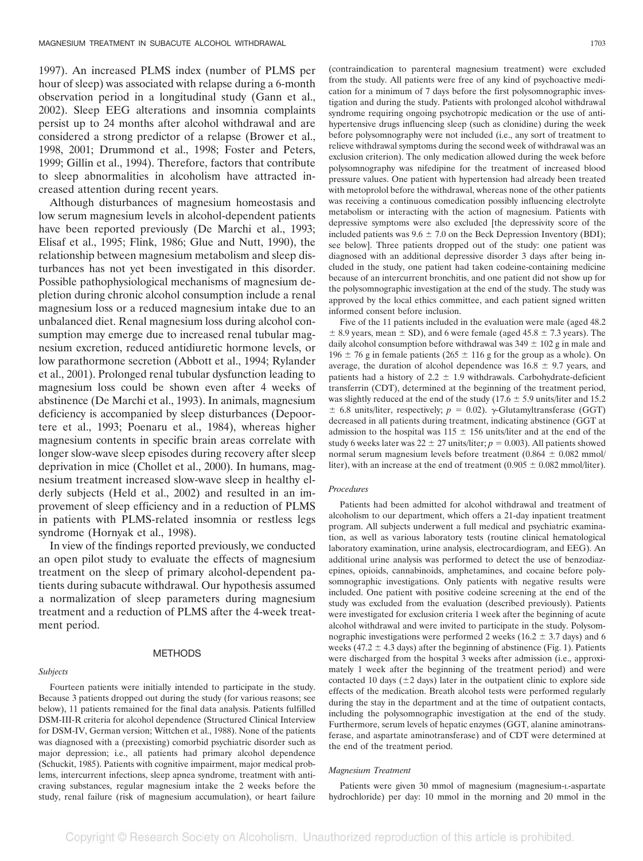1997). An increased PLMS index (number of PLMS per hour of sleep) was associated with relapse during a 6-month observation period in a longitudinal study (Gann et al., 2002). Sleep EEG alterations and insomnia complaints persist up to 24 months after alcohol withdrawal and are considered a strong predictor of a relapse (Brower et al., 1998, 2001; Drummond et al., 1998; Foster and Peters, 1999; Gillin et al., 1994). Therefore, factors that contribute to sleep abnormalities in alcoholism have attracted increased attention during recent years.

Although disturbances of magnesium homeostasis and low serum magnesium levels in alcohol-dependent patients have been reported previously (De Marchi et al., 1993; Elisaf et al., 1995; Flink, 1986; Glue and Nutt, 1990), the relationship between magnesium metabolism and sleep disturbances has not yet been investigated in this disorder. Possible pathophysiological mechanisms of magnesium depletion during chronic alcohol consumption include a renal magnesium loss or a reduced magnesium intake due to an unbalanced diet. Renal magnesium loss during alcohol consumption may emerge due to increased renal tubular magnesium excretion, reduced antidiuretic hormone levels, or low parathormone secretion (Abbott et al., 1994; Rylander et al., 2001). Prolonged renal tubular dysfunction leading to magnesium loss could be shown even after 4 weeks of abstinence (De Marchi et al., 1993). In animals, magnesium deficiency is accompanied by sleep disturbances (Depoortere et al., 1993; Poenaru et al., 1984), whereas higher magnesium contents in specific brain areas correlate with longer slow-wave sleep episodes during recovery after sleep deprivation in mice (Chollet et al., 2000). In humans, magnesium treatment increased slow-wave sleep in healthy elderly subjects (Held et al., 2002) and resulted in an improvement of sleep efficiency and in a reduction of PLMS in patients with PLMS-related insomnia or restless legs syndrome (Hornyak et al., 1998).

In view of the findings reported previously, we conducted an open pilot study to evaluate the effects of magnesium treatment on the sleep of primary alcohol-dependent patients during subacute withdrawal. Our hypothesis assumed a normalization of sleep parameters during magnesium treatment and a reduction of PLMS after the 4-week treatment period.

## *Subjects*

#### METHODS

Fourteen patients were initially intended to participate in the study. Because 3 patients dropped out during the study (for various reasons; see below), 11 patients remained for the final data analysis. Patients fulfilled DSM-III-R criteria for alcohol dependence (Structured Clinical Interview for DSM-IV, German version; Wittchen et al., 1988). None of the patients was diagnosed with a (preexisting) comorbid psychiatric disorder such as major depression; i.e., all patients had primary alcohol dependence (Schuckit, 1985). Patients with cognitive impairment, major medical problems, intercurrent infections, sleep apnea syndrome, treatment with anticraving substances, regular magnesium intake the 2 weeks before the study, renal failure (risk of magnesium accumulation), or heart failure (contraindication to parenteral magnesium treatment) were excluded from the study. All patients were free of any kind of psychoactive medication for a minimum of 7 days before the first polysomnographic investigation and during the study. Patients with prolonged alcohol withdrawal syndrome requiring ongoing psychotropic medication or the use of antihypertensive drugs influencing sleep (such as clonidine) during the week before polysomnography were not included (i.e., any sort of treatment to relieve withdrawal symptoms during the second week of withdrawal was an exclusion criterion). The only medication allowed during the week before polysomnography was nifedipine for the treatment of increased blood pressure values. One patient with hypertension had already been treated with metoprolol before the withdrawal, whereas none of the other patients was receiving a continuous comedication possibly influencing electrolyte metabolism or interacting with the action of magnesium. Patients with depressive symptoms were also excluded [the depressivity score of the included patients was  $9.6 \pm 7.0$  on the Beck Depression Inventory (BDI); see below]. Three patients dropped out of the study: one patient was diagnosed with an additional depressive disorder 3 days after being included in the study, one patient had taken codeine-containing medicine because of an intercurrent bronchitis, and one patient did not show up for the polysomnographic investigation at the end of the study. The study was approved by the local ethics committee, and each patient signed written informed consent before inclusion.

Five of the 11 patients included in the evaluation were male (aged 48.2  $\pm$  8.9 years, mean  $\pm$  SD), and 6 were female (aged 45.8  $\pm$  7.3 years). The daily alcohol consumption before withdrawal was  $349 \pm 102$  g in male and 196  $\pm$  76 g in female patients (265  $\pm$  116 g for the group as a whole). On average, the duration of alcohol dependence was  $16.8 \pm 9.7$  years, and patients had a history of  $2.2 \pm 1.9$  withdrawals. Carbohydrate-deficient transferrin (CDT), determined at the beginning of the treatment period, was slightly reduced at the end of the study  $(17.6 \pm 5.9 \text{ units/liter}$  and 15.2  $\pm$  6.8 units/liter, respectively;  $p = 0.02$ ).  $\gamma$ -Glutamyltransferase (GGT) decreased in all patients during treatment, indicating abstinence (GGT at admission to the hospital was  $115 \pm 156$  units/liter and at the end of the study 6 weeks later was  $22 \pm 27$  units/liter;  $p = 0.003$ ). All patients showed normal serum magnesium levels before treatment  $(0.864 \pm 0.082 \text{ mmol/m})$ liter), with an increase at the end of treatment  $(0.905 \pm 0.082 \text{ mmol/liter})$ .

## *Procedures*

Patients had been admitted for alcohol withdrawal and treatment of alcoholism to our department, which offers a 21-day inpatient treatment program. All subjects underwent a full medical and psychiatric examination, as well as various laboratory tests (routine clinical hematological laboratory examination, urine analysis, electrocardiogram, and EEG). An additional urine analysis was performed to detect the use of benzodiazepines, opioids, cannabinoids, amphetamines, and cocaine before polysomnographic investigations. Only patients with negative results were included. One patient with positive codeine screening at the end of the study was excluded from the evaluation (described previously). Patients were investigated for exclusion criteria 1 week after the beginning of acute alcohol withdrawal and were invited to participate in the study. Polysomnographic investigations were performed 2 weeks ( $16.2 \pm 3.7$  days) and 6 weeks (47.2  $\pm$  4.3 days) after the beginning of abstinence (Fig. 1). Patients were discharged from the hospital 3 weeks after admission (i.e., approximately 1 week after the beginning of the treatment period) and were contacted 10 days  $(\pm 2$  days) later in the outpatient clinic to explore side effects of the medication. Breath alcohol tests were performed regularly during the stay in the department and at the time of outpatient contacts, including the polysomnographic investigation at the end of the study. Furthermore, serum levels of hepatic enzymes (GGT, alanine aminotransferase, and aspartate aminotransferase) and of CDT were determined at the end of the treatment period.

#### *Magnesium Treatment*

Patients were given 30 mmol of magnesium (magnesium-L-aspartate hydrochloride) per day: 10 mmol in the morning and 20 mmol in the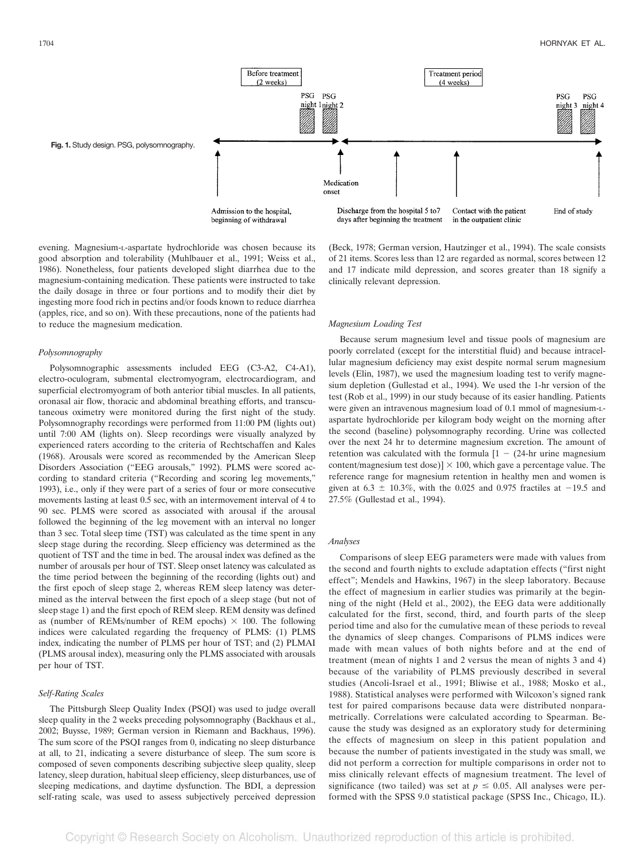

evening. Magnesium-L-aspartate hydrochloride was chosen because its good absorption and tolerability (Muhlbauer et al., 1991; Weiss et al., 1986). Nonetheless, four patients developed slight diarrhea due to the magnesium-containing medication. These patients were instructed to take the daily dosage in three or four portions and to modify their diet by ingesting more food rich in pectins and/or foods known to reduce diarrhea (apples, rice, and so on). With these precautions, none of the patients had to reduce the magnesium medication.

#### *Polysomnography*

Polysomnographic assessments included EEG (C3-A2, C4-A1), electro-oculogram, submental electromyogram, electrocardiogram, and superficial electromyogram of both anterior tibial muscles. In all patients, oronasal air flow, thoracic and abdominal breathing efforts, and transcutaneous oximetry were monitored during the first night of the study. Polysomnography recordings were performed from 11:00 PM (lights out) until 7:00 AM (lights on). Sleep recordings were visually analyzed by experienced raters according to the criteria of Rechtschaffen and Kales (1968). Arousals were scored as recommended by the American Sleep Disorders Association ("EEG arousals," 1992). PLMS were scored according to standard criteria ("Recording and scoring leg movements," 1993), i.e., only if they were part of a series of four or more consecutive movements lasting at least 0.5 sec, with an intermovement interval of 4 to 90 sec. PLMS were scored as associated with arousal if the arousal followed the beginning of the leg movement with an interval no longer than 3 sec. Total sleep time (TST) was calculated as the time spent in any sleep stage during the recording. Sleep efficiency was determined as the quotient of TST and the time in bed. The arousal index was defined as the number of arousals per hour of TST. Sleep onset latency was calculated as the time period between the beginning of the recording (lights out) and the first epoch of sleep stage 2, whereas REM sleep latency was determined as the interval between the first epoch of a sleep stage (but not of sleep stage 1) and the first epoch of REM sleep. REM density was defined as (number of REMs/number of REM epochs)  $\times$  100. The following indices were calculated regarding the frequency of PLMS: (1) PLMS index, indicating the number of PLMS per hour of TST; and (2) PLMAI (PLMS arousal index), measuring only the PLMS associated with arousals per hour of TST.

## *Self-Rating Scales*

The Pittsburgh Sleep Quality Index (PSQI) was used to judge overall sleep quality in the 2 weeks preceding polysomnography (Backhaus et al., 2002; Buysse, 1989; German version in Riemann and Backhaus, 1996). The sum score of the PSQI ranges from 0, indicating no sleep disturbance at all, to 21, indicating a severe disturbance of sleep. The sum score is composed of seven components describing subjective sleep quality, sleep latency, sleep duration, habitual sleep efficiency, sleep disturbances, use of sleeping medications, and daytime dysfunction. The BDI, a depression self-rating scale, was used to assess subjectively perceived depression

(Beck, 1978; German version, Hautzinger et al., 1994). The scale consists of 21 items. Scores less than 12 are regarded as normal, scores between 12 and 17 indicate mild depression, and scores greater than 18 signify a clinically relevant depression.

#### *Magnesium Loading Test*

Because serum magnesium level and tissue pools of magnesium are poorly correlated (except for the interstitial fluid) and because intracellular magnesium deficiency may exist despite normal serum magnesium levels (Elin, 1987), we used the magnesium loading test to verify magnesium depletion (Gullestad et al., 1994). We used the 1-hr version of the test (Rob et al., 1999) in our study because of its easier handling. Patients were given an intravenous magnesium load of 0.1 mmol of magnesium-Laspartate hydrochloride per kilogram body weight on the morning after the second (baseline) polysomnography recording. Urine was collected over the next 24 hr to determine magnesium excretion. The amount of retention was calculated with the formula  $[1 - (24-hr]$  urine magnesium content/magnesium test dose)]  $\times$  100, which gave a percentage value. The reference range for magnesium retention in healthy men and women is given at  $6.3 \pm 10.3\%$ , with the 0.025 and 0.975 fractiles at  $-19.5$  and 27.5% (Gullestad et al., 1994).

#### *Analyses*

Comparisons of sleep EEG parameters were made with values from the second and fourth nights to exclude adaptation effects ("first night effect"; Mendels and Hawkins, 1967) in the sleep laboratory. Because the effect of magnesium in earlier studies was primarily at the beginning of the night (Held et al., 2002), the EEG data were additionally calculated for the first, second, third, and fourth parts of the sleep period time and also for the cumulative mean of these periods to reveal the dynamics of sleep changes. Comparisons of PLMS indices were made with mean values of both nights before and at the end of treatment (mean of nights 1 and 2 versus the mean of nights 3 and 4) because of the variability of PLMS previously described in several studies (Ancoli-Israel et al., 1991; Bliwise et al., 1988; Mosko et al., 1988). Statistical analyses were performed with Wilcoxon's signed rank test for paired comparisons because data were distributed nonparametrically. Correlations were calculated according to Spearman. Because the study was designed as an exploratory study for determining the effects of magnesium on sleep in this patient population and because the number of patients investigated in the study was small, we did not perform a correction for multiple comparisons in order not to miss clinically relevant effects of magnesium treatment. The level of significance (two tailed) was set at  $p \leq 0.05$ . All analyses were performed with the SPSS 9.0 statistical package (SPSS Inc., Chicago, IL).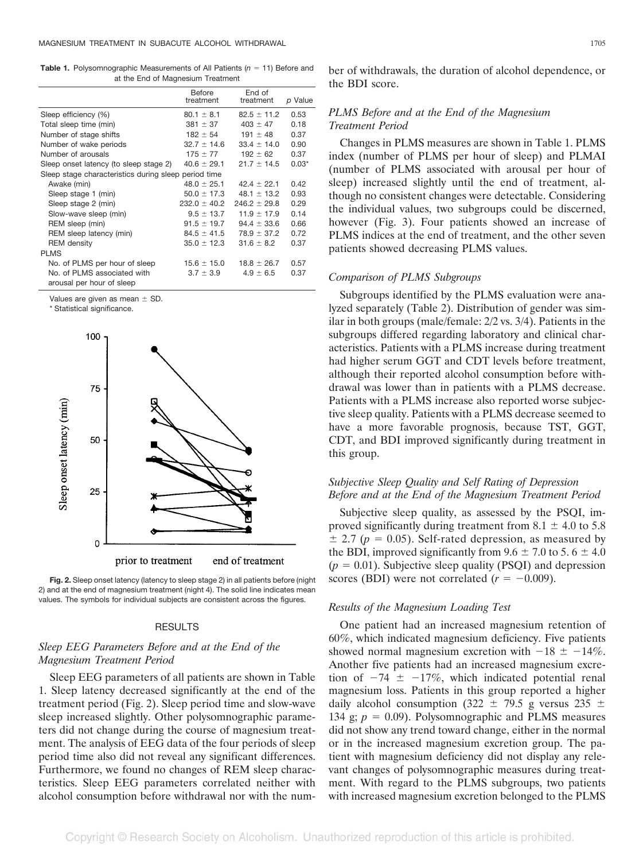**Table 1.** Polysomnographic Measurements of All Patients  $(n = 11)$  Before and at the End of Magnesium Treatment

| Before<br>treatment                                  | End of<br>treatment | p Value |
|------------------------------------------------------|---------------------|---------|
| $80.1 \pm 8.1$                                       | $82.5 \pm 11.2$     | 0.53    |
| $381 \pm 37$                                         | $403 \pm 47$        | 0.18    |
| $182 \pm 54$                                         | 191 $\pm$ 48        | 0.37    |
| $32.7 \pm 14.6$                                      | $33.4 \pm 14.0$     | 0.90    |
| $175 \pm 77$                                         | $192 \pm 62$        | 0.37    |
| $40.6 \pm 29.1$                                      | $21.7 \pm 14.5$     | $0.03*$ |
| Sleep stage characteristics during sleep period time |                     |         |
| $48.0 \pm 25.1$                                      | $42.4 \pm 22.1$     | 0.42    |
| $50.0 \pm 17.3$                                      | $48.1 \pm 13.2$     | 0.93    |
| $232.0 \pm 40.2$                                     | $246.2 \pm 29.8$    | 0.29    |
| $9.5 \pm 13.7$                                       | $11.9 \pm 17.9$     | 0.14    |
| $91.5 \pm 19.7$                                      | $94.4 \pm 33.6$     | 0.66    |
| $84.5 \pm 41.5$                                      | $78.9 \pm 37.2$     | 0.72    |
| $35.0 \pm 12.3$                                      | $31.6 \pm 8.2$      | 0.37    |
|                                                      |                     |         |
| $15.6 \pm 15.0$                                      | $18.8 \pm 26.7$     | 0.57    |
| $3.7 \pm 3.9$                                        | $4.9 \pm 6.5$       | 0.37    |
|                                                      |                     |         |
|                                                      |                     |         |

Values are given as mean  $\pm$  SD.

\* Statistical significance.



**Fig. 2.** Sleep onset latency (latency to sleep stage 2) in all patients before (night 2) and at the end of magnesium treatment (night 4). The solid line indicates mean values. The symbols for individual subjects are consistent across the figures.

## RESULTS

# *Sleep EEG Parameters Before and at the End of the Magnesium Treatment Period*

Sleep EEG parameters of all patients are shown in Table 1. Sleep latency decreased significantly at the end of the treatment period (Fig. 2). Sleep period time and slow-wave sleep increased slightly. Other polysomnographic parameters did not change during the course of magnesium treatment. The analysis of EEG data of the four periods of sleep period time also did not reveal any significant differences. Furthermore, we found no changes of REM sleep characteristics. Sleep EEG parameters correlated neither with alcohol consumption before withdrawal nor with the number of withdrawals, the duration of alcohol dependence, or the BDI score.

# *PLMS Before and at the End of the Magnesium Treatment Period*

Changes in PLMS measures are shown in Table 1. PLMS index (number of PLMS per hour of sleep) and PLMAI (number of PLMS associated with arousal per hour of sleep) increased slightly until the end of treatment, although no consistent changes were detectable. Considering the individual values, two subgroups could be discerned, however (Fig. 3). Four patients showed an increase of PLMS indices at the end of treatment, and the other seven patients showed decreasing PLMS values.

## *Comparison of PLMS Subgroups*

Subgroups identified by the PLMS evaluation were analyzed separately (Table 2). Distribution of gender was similar in both groups (male/female: 2/2 vs. 3/4). Patients in the subgroups differed regarding laboratory and clinical characteristics. Patients with a PLMS increase during treatment had higher serum GGT and CDT levels before treatment, although their reported alcohol consumption before withdrawal was lower than in patients with a PLMS decrease. Patients with a PLMS increase also reported worse subjective sleep quality. Patients with a PLMS decrease seemed to have a more favorable prognosis, because TST, GGT, CDT, and BDI improved significantly during treatment in this group.

# *Subjective Sleep Quality and Self Rating of Depression Before and at the End of the Magnesium Treatment Period*

Subjective sleep quality, as assessed by the PSQI, improved significantly during treatment from  $8.1 \pm 4.0$  to 5.8  $\pm$  2.7 ( $p = 0.05$ ). Self-rated depression, as measured by the BDI, improved significantly from  $9.6 \pm 7.0$  to  $5.6 \pm 4.0$  $(p = 0.01)$ . Subjective sleep quality (PSQI) and depression scores (BDI) were not correlated  $(r = -0.009)$ .

# *Results of the Magnesium Loading Test*

One patient had an increased magnesium retention of 60%, which indicated magnesium deficiency. Five patients showed normal magnesium excretion with  $-18 \pm -14\%$ . Another five patients had an increased magnesium excretion of  $-74 \pm -17\%$ , which indicated potential renal magnesium loss. Patients in this group reported a higher daily alcohol consumption (322  $\pm$  79.5 g versus 235  $\pm$ 134 g;  $p = 0.09$ ). Polysomnographic and PLMS measures did not show any trend toward change, either in the normal or in the increased magnesium excretion group. The patient with magnesium deficiency did not display any relevant changes of polysomnographic measures during treatment. With regard to the PLMS subgroups, two patients with increased magnesium excretion belonged to the PLMS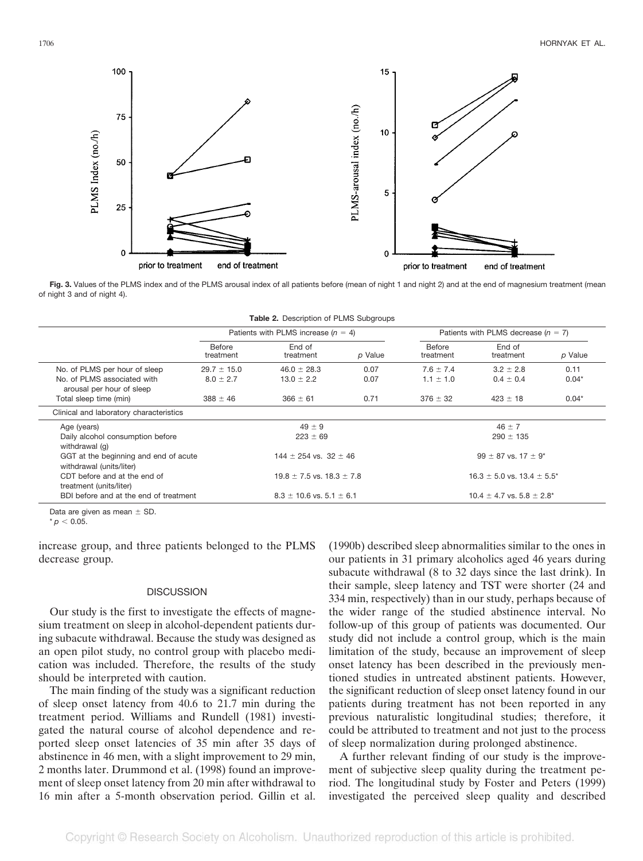

Fig. 3. Values of the PLMS index and of the PLMS arousal index of all patients before (mean of night 1 and night 2) and at the end of magnesium treatment (mean of night 3 and of night 4).

| Table 2. Description of PLMS Subgroups |  |  |  |  |
|----------------------------------------|--|--|--|--|
|----------------------------------------|--|--|--|--|

|                                                                   | Patients with PLMS increase $(n = 4)$ |                     |                                     | Patients with PLMS decrease $(n = 7)$ |                     |         |
|-------------------------------------------------------------------|---------------------------------------|---------------------|-------------------------------------|---------------------------------------|---------------------|---------|
|                                                                   | Before<br>treatment                   | End of<br>treatment | p Value                             | Before<br>treatment                   | End of<br>treatment | p Value |
| No. of PLMS per hour of sleep                                     | $29.7 \pm 15.0$                       | $46.0 \pm 28.3$     | 0.07                                | $7.6 \pm 7.4$                         | $3.2 \pm 2.8$       | 0.11    |
| No. of PLMS associated with<br>arousal per hour of sleep          | $8.0 \pm 2.7$                         | $13.0 \pm 2.2$      | 0.07                                | $1.1 \pm 1.0$                         | $0.4 \pm 0.4$       | $0.04*$ |
| Total sleep time (min)                                            | $388 \pm 46$                          | $366 \pm 61$        | 0.71                                | $376 \pm 32$                          | $423 \pm 18$        | $0.04*$ |
| Clinical and laboratory characteristics                           |                                       |                     |                                     |                                       |                     |         |
| Age (years)                                                       | $49 \pm 9$                            |                     | $46 \pm 7$                          |                                       |                     |         |
| Daily alcohol consumption before<br>withdrawal (q)                | $223 \pm 69$                          |                     | $290 \pm 135$                       |                                       |                     |         |
| GGT at the beginning and end of acute<br>withdrawal (units/liter) | $144 \pm 254$ vs. 32 $\pm$ 46         |                     | $99 \pm 87$ vs. $17 \pm 9^*$        |                                       |                     |         |
| CDT before and at the end of<br>treatment (units/liter)           | $19.8 \pm 7.5$ vs. $18.3 \pm 7.8$     |                     | $16.3 \pm 5.0$ vs. $13.4 \pm 5.5^*$ |                                       |                     |         |
| BDI before and at the end of treatment                            | $8.3 \pm 10.6$ vs. $5.1 \pm 6.1$      |                     | $10.4 \pm 4.7$ vs. $5.8 \pm 2.8^*$  |                                       |                     |         |

Data are given as mean  $\pm$  SD.

 $* p < 0.05.$ 

increase group, and three patients belonged to the PLMS decrease group.

# **DISCUSSION**

Our study is the first to investigate the effects of magnesium treatment on sleep in alcohol-dependent patients during subacute withdrawal. Because the study was designed as an open pilot study, no control group with placebo medication was included. Therefore, the results of the study should be interpreted with caution.

The main finding of the study was a significant reduction of sleep onset latency from 40.6 to 21.7 min during the treatment period. Williams and Rundell (1981) investigated the natural course of alcohol dependence and reported sleep onset latencies of 35 min after 35 days of abstinence in 46 men, with a slight improvement to 29 min, 2 months later. Drummond et al. (1998) found an improvement of sleep onset latency from 20 min after withdrawal to 16 min after a 5-month observation period. Gillin et al. (1990b) described sleep abnormalities similar to the ones in our patients in 31 primary alcoholics aged 46 years during subacute withdrawal (8 to 32 days since the last drink). In their sample, sleep latency and TST were shorter (24 and 334 min, respectively) than in our study, perhaps because of the wider range of the studied abstinence interval. No follow-up of this group of patients was documented. Our study did not include a control group, which is the main limitation of the study, because an improvement of sleep onset latency has been described in the previously mentioned studies in untreated abstinent patients. However, the significant reduction of sleep onset latency found in our patients during treatment has not been reported in any previous naturalistic longitudinal studies; therefore, it could be attributed to treatment and not just to the process of sleep normalization during prolonged abstinence.

A further relevant finding of our study is the improvement of subjective sleep quality during the treatment period. The longitudinal study by Foster and Peters (1999) investigated the perceived sleep quality and described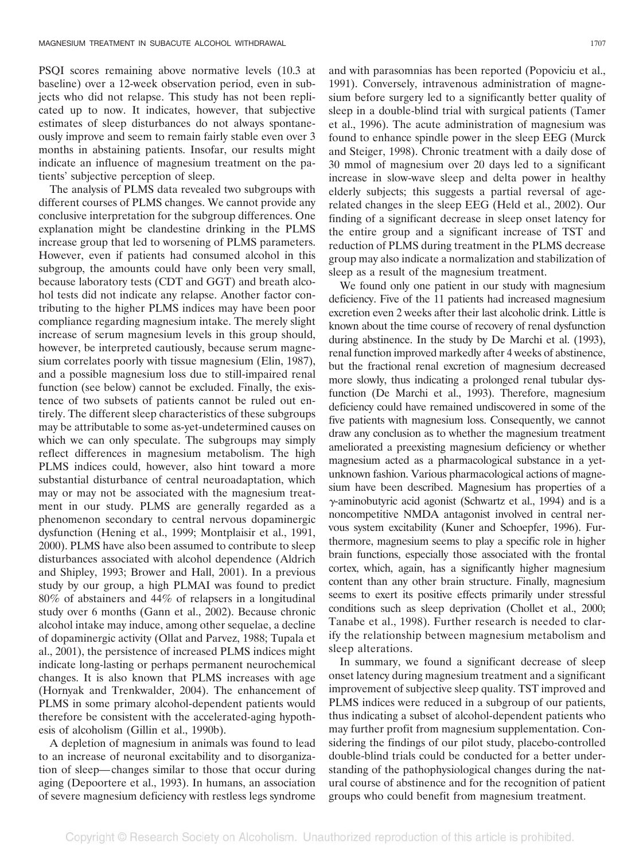PSQI scores remaining above normative levels (10.3 at baseline) over a 12-week observation period, even in subjects who did not relapse. This study has not been replicated up to now. It indicates, however, that subjective estimates of sleep disturbances do not always spontaneously improve and seem to remain fairly stable even over 3 months in abstaining patients. Insofar, our results might indicate an influence of magnesium treatment on the patients' subjective perception of sleep.

The analysis of PLMS data revealed two subgroups with different courses of PLMS changes. We cannot provide any conclusive interpretation for the subgroup differences. One explanation might be clandestine drinking in the PLMS increase group that led to worsening of PLMS parameters. However, even if patients had consumed alcohol in this subgroup, the amounts could have only been very small, because laboratory tests (CDT and GGT) and breath alcohol tests did not indicate any relapse. Another factor contributing to the higher PLMS indices may have been poor compliance regarding magnesium intake. The merely slight increase of serum magnesium levels in this group should, however, be interpreted cautiously, because serum magnesium correlates poorly with tissue magnesium (Elin, 1987), and a possible magnesium loss due to still-impaired renal function (see below) cannot be excluded. Finally, the existence of two subsets of patients cannot be ruled out entirely. The different sleep characteristics of these subgroups may be attributable to some as-yet-undetermined causes on which we can only speculate. The subgroups may simply reflect differences in magnesium metabolism. The high PLMS indices could, however, also hint toward a more substantial disturbance of central neuroadaptation, which may or may not be associated with the magnesium treatment in our study. PLMS are generally regarded as a phenomenon secondary to central nervous dopaminergic dysfunction (Hening et al., 1999; Montplaisir et al., 1991, 2000). PLMS have also been assumed to contribute to sleep disturbances associated with alcohol dependence (Aldrich and Shipley, 1993; Brower and Hall, 2001). In a previous study by our group, a high PLMAI was found to predict 80% of abstainers and 44% of relapsers in a longitudinal study over 6 months (Gann et al., 2002). Because chronic alcohol intake may induce, among other sequelae, a decline of dopaminergic activity (Ollat and Parvez, 1988; Tupala et al., 2001), the persistence of increased PLMS indices might indicate long-lasting or perhaps permanent neurochemical changes. It is also known that PLMS increases with age (Hornyak and Trenkwalder, 2004). The enhancement of PLMS in some primary alcohol-dependent patients would therefore be consistent with the accelerated-aging hypothesis of alcoholism (Gillin et al., 1990b).

A depletion of magnesium in animals was found to lead to an increase of neuronal excitability and to disorganization of sleep— changes similar to those that occur during aging (Depoortere et al., 1993). In humans, an association of severe magnesium deficiency with restless legs syndrome and with parasomnias has been reported (Popoviciu et al., 1991). Conversely, intravenous administration of magnesium before surgery led to a significantly better quality of sleep in a double-blind trial with surgical patients (Tamer et al., 1996). The acute administration of magnesium was found to enhance spindle power in the sleep EEG (Murck and Steiger, 1998). Chronic treatment with a daily dose of 30 mmol of magnesium over 20 days led to a significant increase in slow-wave sleep and delta power in healthy elderly subjects; this suggests a partial reversal of agerelated changes in the sleep EEG (Held et al., 2002). Our finding of a significant decrease in sleep onset latency for the entire group and a significant increase of TST and reduction of PLMS during treatment in the PLMS decrease group may also indicate a normalization and stabilization of sleep as a result of the magnesium treatment.

We found only one patient in our study with magnesium deficiency. Five of the 11 patients had increased magnesium excretion even 2 weeks after their last alcoholic drink. Little is known about the time course of recovery of renal dysfunction during abstinence. In the study by De Marchi et al. (1993), renal function improved markedly after 4 weeks of abstinence, but the fractional renal excretion of magnesium decreased more slowly, thus indicating a prolonged renal tubular dysfunction (De Marchi et al., 1993). Therefore, magnesium deficiency could have remained undiscovered in some of the five patients with magnesium loss. Consequently, we cannot draw any conclusion as to whether the magnesium treatment ameliorated a preexisting magnesium deficiency or whether magnesium acted as a pharmacological substance in a yetunknown fashion. Various pharmacological actions of magnesium have been described. Magnesium has properties of a  $\gamma$ -aminobutyric acid agonist (Schwartz et al., 1994) and is a noncompetitive NMDA antagonist involved in central nervous system excitability (Kuner and Schoepfer, 1996). Furthermore, magnesium seems to play a specific role in higher brain functions, especially those associated with the frontal cortex, which, again, has a significantly higher magnesium content than any other brain structure. Finally, magnesium seems to exert its positive effects primarily under stressful conditions such as sleep deprivation (Chollet et al., 2000; Tanabe et al., 1998). Further research is needed to clarify the relationship between magnesium metabolism and sleep alterations.

In summary, we found a significant decrease of sleep onset latency during magnesium treatment and a significant improvement of subjective sleep quality. TST improved and PLMS indices were reduced in a subgroup of our patients, thus indicating a subset of alcohol-dependent patients who may further profit from magnesium supplementation. Considering the findings of our pilot study, placebo-controlled double-blind trials could be conducted for a better understanding of the pathophysiological changes during the natural course of abstinence and for the recognition of patient groups who could benefit from magnesium treatment.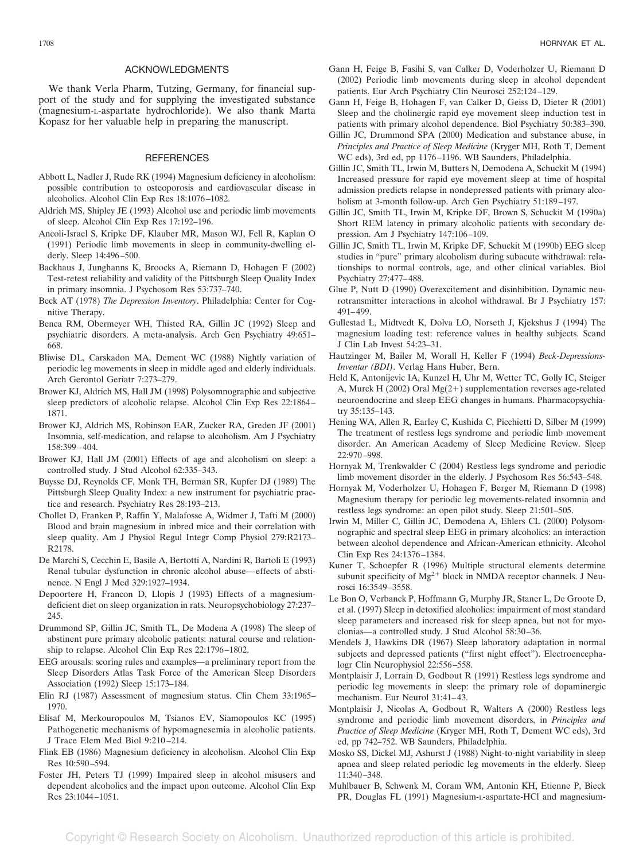## ACKNOWLEDGMENTS

We thank Verla Pharm, Tutzing, Germany, for financial support of the study and for supplying the investigated substance (magnesium-L-aspartate hydrochloride). We also thank Marta Kopasz for her valuable help in preparing the manuscript.

#### **REFERENCES**

- Abbott L, Nadler J, Rude RK (1994) Magnesium deficiency in alcoholism: possible contribution to osteoporosis and cardiovascular disease in alcoholics. Alcohol Clin Exp Res 18:1076 –1082.
- Aldrich MS, Shipley JE (1993) Alcohol use and periodic limb movements of sleep. Alcohol Clin Exp Res 17:192–196.
- Ancoli-Israel S, Kripke DF, Klauber MR, Mason WJ, Fell R, Kaplan O (1991) Periodic limb movements in sleep in community-dwelling elderly. Sleep 14:496 –500.
- Backhaus J, Junghanns K, Broocks A, Riemann D, Hohagen F (2002) Test-retest reliability and validity of the Pittsburgh Sleep Quality Index in primary insomnia. J Psychosom Res 53:737–740.
- Beck AT (1978) *The Depression Inventory*. Philadelphia: Center for Cognitive Therapy.
- Benca RM, Obermeyer WH, Thisted RA, Gillin JC (1992) Sleep and psychiatric disorders. A meta-analysis. Arch Gen Psychiatry 49:651– 668.
- Bliwise DL, Carskadon MA, Dement WC (1988) Nightly variation of periodic leg movements in sleep in middle aged and elderly individuals. Arch Gerontol Geriatr 7:273–279.
- Brower KJ, Aldrich MS, Hall JM (1998) Polysomnographic and subjective sleep predictors of alcoholic relapse. Alcohol Clin Exp Res 22:1864 – 1871.
- Brower KJ, Aldrich MS, Robinson EAR, Zucker RA, Greden JF (2001) Insomnia, self-medication, and relapse to alcoholism. Am J Psychiatry 158:399 – 404.
- Brower KJ, Hall JM (2001) Effects of age and alcoholism on sleep: a controlled study. J Stud Alcohol 62:335–343.
- Buysse DJ, Reynolds CF, Monk TH, Berman SR, Kupfer DJ (1989) The Pittsburgh Sleep Quality Index: a new instrument for psychiatric practice and research. Psychiatry Res 28:193–213.
- Chollet D, Franken P, Raffin Y, Malafosse A, Widmer J, Tafti M (2000) Blood and brain magnesium in inbred mice and their correlation with sleep quality. Am J Physiol Regul Integr Comp Physiol 279:R2173– R2178.
- De Marchi S, Cecchin E, Basile A, Bertotti A, Nardini R, Bartoli E (1993) Renal tubular dysfunction in chronic alcohol abuse—effects of abstinence. N Engl J Med 329:1927–1934.
- Depoortere H, Francon D, Llopis J (1993) Effects of a magnesiumdeficient diet on sleep organization in rats. Neuropsychobiology 27:237– 245.
- Drummond SP, Gillin JC, Smith TL, De Modena A (1998) The sleep of abstinent pure primary alcoholic patients: natural course and relationship to relapse. Alcohol Clin Exp Res 22:1796 –1802.
- EEG arousals: scoring rules and examples—a preliminary report from the Sleep Disorders Atlas Task Force of the American Sleep Disorders Association (1992) Sleep 15:173–184.
- Elin RJ (1987) Assessment of magnesium status. Clin Chem 33:1965– 1970.
- Elisaf M, Merkouropoulos M, Tsianos EV, Siamopoulos KC (1995) Pathogenetic mechanisms of hypomagnesemia in alcoholic patients. J Trace Elem Med Biol 9:210 –214.
- Flink EB (1986) Magnesium deficiency in alcoholism. Alcohol Clin Exp Res 10:590 –594.
- Foster JH, Peters TJ (1999) Impaired sleep in alcohol misusers and dependent alcoholics and the impact upon outcome. Alcohol Clin Exp Res 23:1044 –1051.
- Gann H, Feige B, Fasihi S, van Calker D, Voderholzer U, Riemann D (2002) Periodic limb movements during sleep in alcohol dependent patients. Eur Arch Psychiatry Clin Neurosci 252:124 –129.
- Gann H, Feige B, Hohagen F, van Calker D, Geiss D, Dieter R (2001) Sleep and the cholinergic rapid eye movement sleep induction test in patients with primary alcohol dependence. Biol Psychiatry 50:383–390.
- Gillin JC, Drummond SPA (2000) Medication and substance abuse, in *Principles and Practice of Sleep Medicine* (Kryger MH, Roth T, Dement WC eds), 3rd ed, pp 1176 –1196. WB Saunders, Philadelphia.
- Gillin JC, Smith TL, Irwin M, Butters N, Demodena A, Schuckit M (1994) Increased pressure for rapid eye movement sleep at time of hospital admission predicts relapse in nondepressed patients with primary alcoholism at 3-month follow-up. Arch Gen Psychiatry 51:189-197.
- Gillin JC, Smith TL, Irwin M, Kripke DF, Brown S, Schuckit M (1990a) Short REM latency in primary alcoholic patients with secondary depression. Am J Psychiatry 147:106 –109.
- Gillin JC, Smith TL, Irwin M, Kripke DF, Schuckit M (1990b) EEG sleep studies in "pure" primary alcoholism during subacute withdrawal: relationships to normal controls, age, and other clinical variables. Biol Psychiatry 27:477– 488.
- Glue P, Nutt D (1990) Overexcitement and disinhibition. Dynamic neurotransmitter interactions in alcohol withdrawal. Br J Psychiatry 157: 491– 499.
- Gullestad L, Midtvedt K, Dolva LO, Norseth J, Kjekshus J (1994) The magnesium loading test: reference values in healthy subjects. Scand J Clin Lab Invest 54:23–31.
- Hautzinger M, Bailer M, Worall H, Keller F (1994) *Beck-Depressions-Inventar (BDI)*. Verlag Hans Huber, Bern.
- Held K, Antonijevic IA, Kunzel H, Uhr M, Wetter TC, Golly IC, Steiger A, Murck H (2002) Oral  $Mg(2+)$  supplementation reverses age-related neuroendocrine and sleep EEG changes in humans. Pharmacopsychiatry 35:135–143.
- Hening WA, Allen R, Earley C, Kushida C, Picchietti D, Silber M (1999) The treatment of restless legs syndrome and periodic limb movement disorder. An American Academy of Sleep Medicine Review. Sleep 22:970 –998.
- Hornyak M, Trenkwalder C (2004) Restless legs syndrome and periodic limb movement disorder in the elderly. J Psychosom Res 56:543–548.
- Hornyak M, Voderholzer U, Hohagen F, Berger M, Riemann D (1998) Magnesium therapy for periodic leg movements-related insomnia and restless legs syndrome: an open pilot study. Sleep 21:501–505.
- Irwin M, Miller C, Gillin JC, Demodena A, Ehlers CL (2000) Polysomnographic and spectral sleep EEG in primary alcoholics: an interaction between alcohol dependence and African-American ethnicity. Alcohol Clin Exp Res 24:1376 –1384.
- Kuner T, Schoepfer R (1996) Multiple structural elements determine subunit specificity of  $Mg^{2+}$  block in NMDA receptor channels. J Neurosci 16:3549 –3558.
- Le Bon O, Verbanck P, Hoffmann G, Murphy JR, Staner L, De Groote D, et al. (1997) Sleep in detoxified alcoholics: impairment of most standard sleep parameters and increased risk for sleep apnea, but not for myoclonias—a controlled study. J Stud Alcohol 58:30 –36.
- Mendels J, Hawkins DR (1967) Sleep laboratory adaptation in normal subjects and depressed patients ("first night effect"). Electroencephalogr Clin Neurophysiol 22:556–558.
- Montplaisir J, Lorrain D, Godbout R (1991) Restless legs syndrome and periodic leg movements in sleep: the primary role of dopaminergic mechanism. Eur Neurol 31:41-43.
- Montplaisir J, Nicolas A, Godbout R, Walters A (2000) Restless legs syndrome and periodic limb movement disorders, in *Principles and Practice of Sleep Medicine* (Kryger MH, Roth T, Dement WC eds), 3rd ed, pp 742–752. WB Saunders, Philadelphia.
- Mosko SS, Dickel MJ, Ashurst J (1988) Night-to-night variability in sleep apnea and sleep related periodic leg movements in the elderly. Sleep 11:340 –348.
- Muhlbauer B, Schwenk M, Coram WM, Antonin KH, Etienne P, Bieck PR, Douglas FL (1991) Magnesium-L-aspartate-HCl and magnesium-